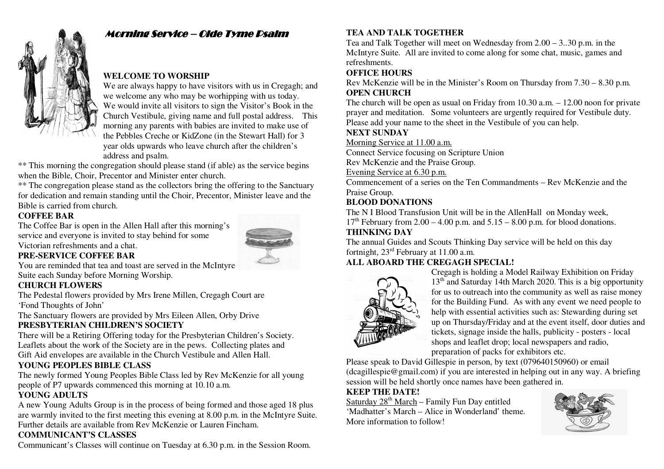

# Morning Service – Olde Tyme Psalm

#### **WELCOME TO WORSHIP**

 We are always happy to have visitors with us in Cregagh; and we welcome any who may be worhipping with us today. We would invite all visitors to sign the Visitor's Book in the Church Vestibule, giving name and full postal address. This morning any parents with babies are invited to make use of the Pebbles Creche or KidZone (in the Stewart Hall) for 3 year olds upwards who leave church after the children's address and psalm.

 \*\* This morning the congregation should please stand (if able) as the service begins when the Bible, Choir, Precentor and Minister enter church.

\*\* The congregation please stand as the collectors bring the offering to the Sanctuary for dedication and remain standing until the Choir, Precentor, Minister leave and the Bible is carried from church.

#### **COFFEE BAR**

 The Coffee Bar is open in the Allen Hall after this morning's service and everyone is invited to stay behind for some Victorian refreshments and a chat.



# **PRE-SERVICE COFFEE BAR**

 You are reminded that tea and toast are served in the McIntyre Suite each Sunday before Morning Worship.

#### **CHURCH FLOWERS**

 The Pedestal flowers provided by Mrs Irene Millen, Cregagh Court are 'Fond Thoughts of John'

 The Sanctuary flowers are provided by Mrs Eileen Allen, Orby Drive **PRESBYTERIAN CHILDREN'S SOCIETY** 

 There will be a Retiring Offering today for the Presbyterian Children's Society. Leaflets about the work of the Society are in the pews. Collecting plates and Gift Aid envelopes are available in the Church Vestibule and Allen Hall.

#### **YOUNG PEOPLES BIBLE CLASS**

 The newly formed Young Peoples Bible Class led by Rev McKenzie for all young people of P7 upwards commenced this morning at 10.10 a.m.

#### **YOUNG ADULTS**

 A new Young Adults Group is in the process of being formed and those aged 18 plus are warmly invited to the first meeting this evening at 8.00 p.m. in the McIntyre Suite. Further details are available from Rev McKenzie or Lauren Fincham.

#### **COMMUNICANT'S CLASSES**

Communicant's Classes will continue on Tuesday at 6.30 p.m. in the Session Room.

# **TEA AND TALK TOGETHER**

 Tea and Talk Together will meet on Wednesday from 2.00 – 3..30 p.m. in the McIntyre Suite. All are invited to come along for some chat, music, games and refreshments.

#### **OFFICE HOURS**

 Rev McKenzie will be in the Minister's Room on Thursday from 7.30 – 8.30 p.m. **OPEN CHURCH** 

 The church will be open as usual on Friday from 10.30 a.m. – 12.00 noon for private prayer and meditation. Some volunteers are urgently required for Vestibule duty. Please add your name to the sheet in the Vestibule of you can help.

#### **NEXT SUNDAY**

Morning Service at 11.00 a.m.

Connect Service focusing on Scripture Union

Rev McKenzie and the Praise Group.

Evening Service at 6.30 p.m.

 Commencement of a series on the Ten Commandments – Rev McKenzie and the Praise Group.

### **BLOOD DONATIONS**

 The N I Blood Transfusion Unit will be in the AllenHall on Monday week,  $17<sup>th</sup>$  February from 2.00 – 4.00 p.m. and  $5.15 - 8.00$  p.m. for blood donations. **THINKING DAY** 

 The annual Guides and Scouts Thinking Day service will be held on this day fortnight, 23rd February at 11.00 a.m.

# **ALL ABOARD THE CREGAGH SPECIAL!**



 Cregagh is holding a Model Railway Exhibition on Friday 13<sup>th</sup> and Saturday 14th March 2020. This is a big opportunity for us to outreach into the community as well as raise money for the Building Fund. As with any event we need people to help with essential activities such as: Stewarding during set up on Thursday/Friday and at the event itself, door duties and tickets, signage inside the halls, publicity - posters - local shops and leaflet drop; local newspapers and radio,preparation of packs for exhibitors etc.

 Please speak to David Gillespie in person, by text (079640150960) or email (dcagillespie@gmail.com) if you are interested in helping out in any way. A briefing session will be held shortly once names have been gathered in.

#### **KEEP THE DATE!**

Saturday 28<sup>th</sup> March – Family Fun Day entitled 'Madhatter's March – Alice in Wonderland' theme. More information to follow!